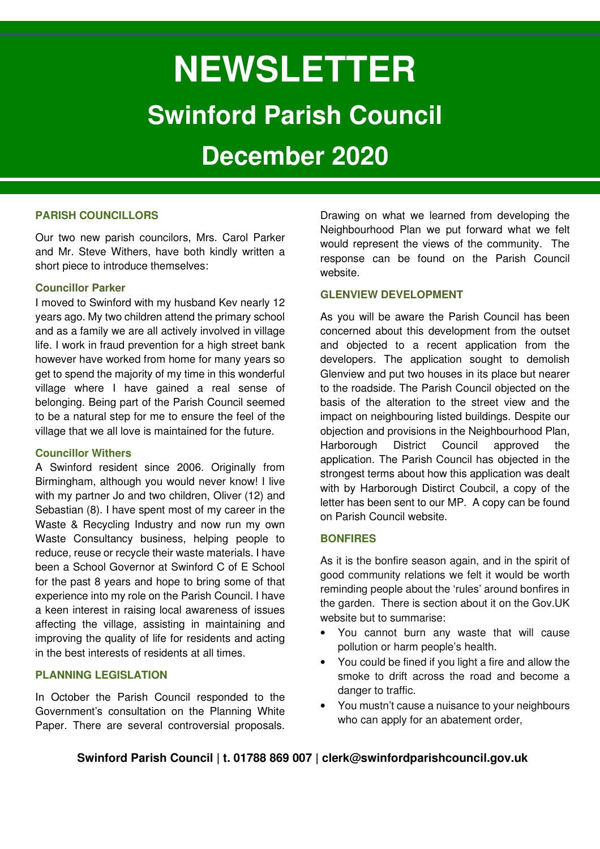# **NEWSLETTER Swinford Parish Council**

# **December 2020**

# **PARISH COUNCILLORS**

Our two new parish councilors, Mrs. Carol Parker and Mr. Steve Withers, have both kindly written a short piece to introduce themselves:

# **Councillor Parker**

I moved to Swinford with my husband Kev nearly 12 years ago. My two children attend the primary school and as a family we are all actively involved in village life. I work in fraud prevention for a high street bank however have worked from home for many years so get to spend the majority of my time in this wonderful village where I have gained a real sense of belonging. Being part of the Parish Council seemed to be a natural step for me to ensure the feel of the village that we all love is maintained for the future.

# **Councillor Withers**

A Swinford resident since 2006. Originally from Birmingham, although you would never know! I live with my partner Jo and two children, Oliver (12) and Sebastian (8). I have spent most of my career in the Waste & Recycling Industry and now run my own Waste Consultancy business, helping people to reduce, reuse or recycle their waste materials. I have been a School Governor at Swinford C of E School for the past 8 years and hope to bring some of that experience into my role on the Parish Council. I have a keen interest in raising local awareness of issues affecting the village, assisting in maintaining and improving the quality of life for residents and acting in the best interests of residents at all times.

# **PLANNING LEGISLATION**

In October the Parish Council responded to the Government's consultation on the Planning White Paper. There are several controversial proposals. Drawing on what we learned from developing the Neighbourhood Plan we put forward what we felt would represent the views of the community. The response can be found on the Parish Council website.

# **GLENVIEW DEVELOPMENT**

As you will be aware the Parish Council has been concerned about this development from the outset and objected to a recent application from the developers. The application sought to demolish Glenview and put two houses in its place but nearer to the roadside. The Parish Council objected on the basis of the alteration to the street view and the impact on neighbouring listed buildings. Despite our objection and provisions in the Neighbourhood Plan, Harborough District Council approved the application. The Parish Council has objected in the strongest terms about how this application was dealt with by Harborough Distirct Coubcil, a copy of the letter has been sent to our MP. A copy can be found on Parish Council website.

# **BONFIRES**

As it is the bonfire season again, and in the spirit of good community relations we felt it would be worth reminding people about the 'rules' around bonfires in the garden. There is section about it on the Gov.UK website but to summarise:

- You cannot burn any waste that will cause pollution or harm people's health.
- You could be fined if you light a fire and allow the smoke to drift across the road and become a danger to traffic.
- You mustn't cause a nuisance to your neighbours who can apply for an abatement order,

# **Swinford Parish Council | t. 01788 869 007 | clerk@swinfordparishcouncil.gov.uk**